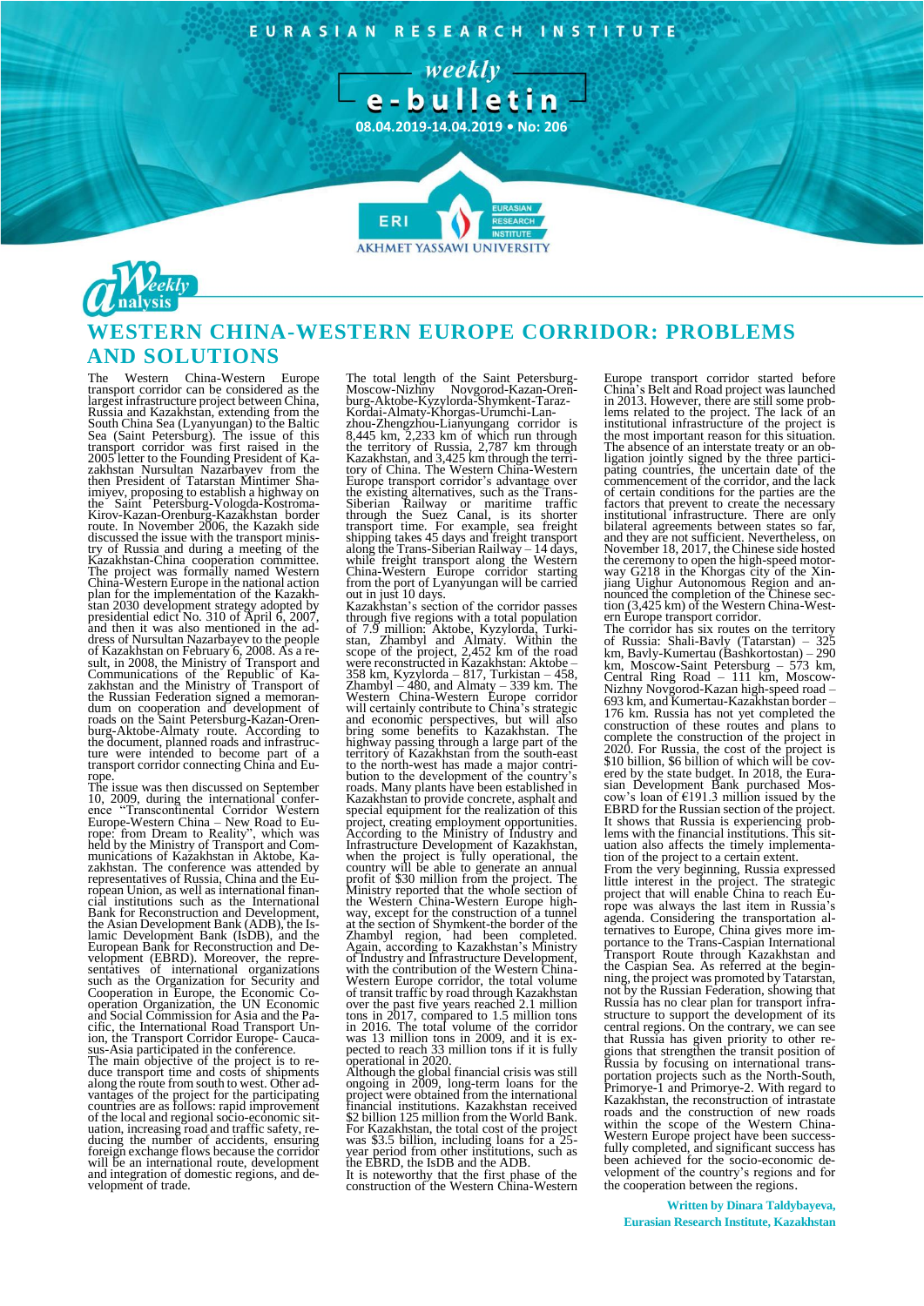EURASIAN RESEARCH INSTITUTE





# **WESTERN CHINA-WESTERN EUROPE CORRIDOR: PROBLEMS AND SOLUTIONS**

The Western China-Western Europe<br>transport corridor can be considered as the transport corridor can be considered as the<br>largest infrastructure project between China,<br>Russia and Kazakhstan, extending from the<br>South China Sea (Lyanyungan) to the Baltic<br>Sea (Saint Petersburg). The issue of this<br>trans try of Russia and during a meeting of the Kazakhstan-China cooperation committee. The project was formally named Western China-Western Europe in the national action<br>plan for the implementation of the Kazakh-<br>stan 2030 development strategy adopted by<br>presidential edict No. 310 of April 6, 2007,<br>and then it was also mentioned in the ad-<br>dress

The issue was then discussed on September 10, 2009, during the international conference "Transcontinental Corridor Western Europe: Western China – New Road to Eu-<br>Europe: Western China – New Road to Eu-<br>rope: from Dream to Reality", which was<br>held by the Ministry munications of Kazakhstan in Aktobe, Kazakhstan. The conference was attended by representatives of Russia, China and the European Union, as well as international finan-cial institutions such as the International Bank for Reconstruction and Development, the Asian Development Bank (ADB), the Is-lamic Development Bank (IsDB), and the European Bank for Reconstruction and Development (EBRD). Moreover, the repre-<br>sentatives of international organizations<br>such as the Organization for Security and<br>Cooperation in Europe, the Economic Co-<br>operation Organizati cific, the International Road Transport Un-ion, the Transport Corridor Europe- Cauca-sus-Asia participated in the conference.

The main objective of the project is to reduce transport time and costs of shipments along the route from south to west. Other advantages of the project for the participating countries are as follows: rapid improvement of the local and regional socio-economic situation, increasing road and traffic safety, re-ducing the number of accidents, ensuring foreign exchange flows because the corridor will be an international route, development and integration of domestic regions, and de-velopment of trade.

The total length of the Saint Petersburg-Moscow-Nizhny Novgorod-Kazan-Oren-burg-Aktobe-Kyzylorda-Shymkent-Taraz-Kordai-Almaty-Khorgas-Urumchi-Lan-<br>zhou-Zhengzhou-Lianyungang corridor is<br>8,445 km, 2,233 km of which run through<br>the territory of Russia, 2,787 km through<br>Kazakhstan, and 3,425 km through the terri-<br>tory of China. The Wes Europe transport corridor's advantage over<br>the existing alternatives, such as the Trans-<br>Siberian Railway or maritime traffic<br>through the Suez Canal, is its shorter<br>transport time. For example, sea freight<br>shipping takes 4 along the Trans-Siberian Railway – 14 days, while freight transport along the Western China-Western Europe corridor starting from the port of Lyanyungan will be carried

out in just 10 days.<br>Kazakhstan's section of the corridor passes Kazakhstan's section of the corridor passes<br>through five regions with a total population<br>of 7.9 million: Aktobe, Kyzylorda, Turki-<br>stan, Zhambyl and Almaty. Within the<br>scope of the project, 2,452 km of the road<br>were recons highway passing through a large part of the territory of Kazakhstan from the south-east to the north-west has made a major contri-bution to the development of the country's roads. Many plants have been established in Kazakhstan to provide concrete, asphalt and special equipment for the realization of this project, creating employment opportunities.<br>According to the Ministry of Industry and<br>Infrastructure Development of Kazakhstan,<br>when the project is fully operational, the<br>country will be able to generate an annual<br>profit o way, except for the construction of a tunnel at the section of Shymkent-the border of the<br>Zhambyl region, had been completed.<br>Again, according to Kazakhstan's Ministry<br>of Industry and Infrastructure Development,<br>with the contribution of the Western China-<br>Western Eur over the past five years reached 2.1 million<br>tons in 2017, compared to 1.5 million tons<br>in 2016. The total volume of the corridor<br>was 13 million tons in 2009, and it is ex-<br>pected to reach 33 million tons if it is fully operational in 2020.

Although the global financial crisis was still ongoing in 2009, long-term loans for the project were obtained from the international financial institutions. Kazakhstan received \$2 billion 125 million from the World Bank. For Kazakhstan, the total cost of the project was \$3.5 billion, including loans for a 25- year period from other institutions, such as the EBRD, the IsDB and the ADB.

It is noteworthy that the first phase of the construction of the Western China-Western

Europe transport corridor started before China's Belt and Road project was launched<br>in 2013. However, there are still some prob-<br>lems related to the project. The lack of an<br>institutional infrastructure of the project is<br>the most important reason for this situatio The absence of an interstate treaty or an ob-<br>ligation jointly signed by the three partici-<br>pating countries, the uncertain date of the<br>commencement of the corridor, and the lack<br>of certain conditions for the parties are t and they are not sufficient. Nevertheless, on November 18, 2017, the Chinese side hosted the ceremony to open the high-speed motor-<br>way G218 in the Khorgas city of the Xinjiang Uighur Autonomous Region and an-<br>nounced the completion of the Chinese sec-<br>tion (3,425 km) of the Western China-Western Europe transport corridor.

The corridor has six routes on the territory of Russia: Shali-Bavly (Tatarstan) – 325 km, Bavly-Kumertau (Bashkortostan) – 290 km, Moscow-Saint Petersburg – 573 km, Central Ring Road – 111 km, Moscow-Nizhny Novgorod-Kazan high-speed road – 693 km, and Kumertau-Kazakhstan border – 176 km. Russia has not yet completed the construction of these routes and plans to complete the construction of the project in 2020. For Russia, the cost of the project is \$10 billion, \$6 billion of which will be covered by the state budget. In 2018, the Eurasian Development Bank purchased Mos-cow's loan of €191.3 million issued by the EBRD for the Russian section of the project. It shows that Russia is experiencing prob-lems with the financial institutions. This situation also affects the timely implementation of the project to a certain extent.

From the very beginning, Russia expressed little interest in the project. The strategic project that will enable China to reach Europe was always the last item in Russia's agenda. Considering the transportation al-ternatives to Europe, China gives more importance to the Trans-Caspian International Transport Route through Kazakhstan and the Caspian Sea. As referred at the beginning, the project was promoted by Tatarstan, not by the Russian Federation, showing that Russia has no clear plan for transport infra-structure to support the development of its central regions. On the contrary, we can see that Russia has given priority to other regions that strengthen the transit position of Russia by focusing on international trans-portation projects such as the North-South, Primorye-1 and Primorye-2. With regard to Kazakhstan, the reconstruction of intrastate roads and the construction of new roads within the scope of the Western China-Western Europe project have been success-<br>fully completed, and significant success has been achieved for the socio-economic de-velopment of the country's regions and for the cooperation between the regions.

**Written by Dinara Taldybayeva, Eurasian Research Institute, Kazakhstan**